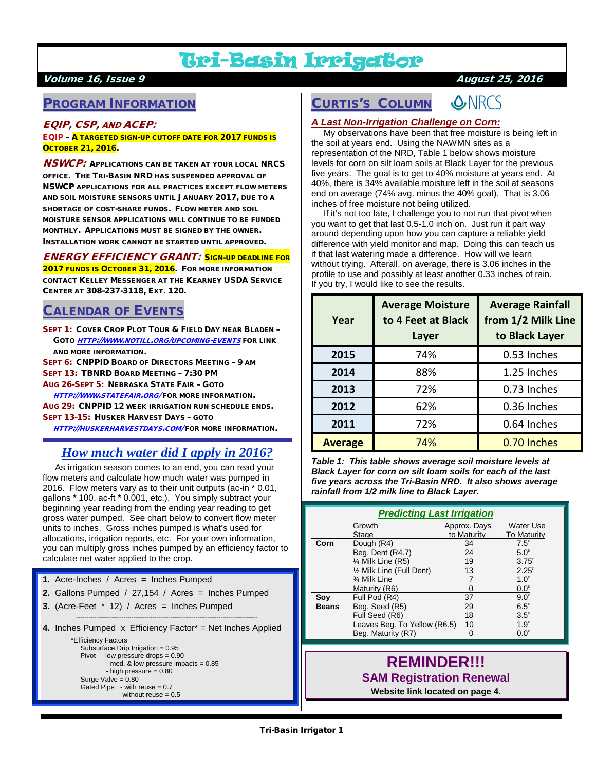# Tri-Basin Irrigator

## Volume 16, Issue 9 August 25, 2016

## PROGRAM INFORMATION

## EQIP, CSP, AND ACEP:

#### EQIP – A TARGETED SIGN-UP CUTOFF DATE FOR 2017 FUNDS IS **Остовек 21, 2016.**

**NSWCP:** APPLICATIONS CAN BE TAKEN AT YOUR LOCAL NRCS OFFICE. THE TRI-BASIN NRD HAS SUSPENDED APPROVAL OF NSWCP APPLICATIONS FOR ALL PRACTICES EXCEPT FLOW METERS AND SOIL MOISTURE SENSORS UNTIL JANUARY 2017, DUE TO A SHORTAGE OF COST-SHARE FUNDS. FLOW METER AND SOIL MOISTURE SENSOR APPLICATIONS WILL CONTINUE TO BE FUNDED MONTHLY. APPLICATIONS MUST BE SIGNED BY THE OWNER. INSTALLATION WORK CANNOT BE STARTED UNTIL APPROVED.

### ENERGY EFFICIENCY GRANT: SIGN-UP DEADLINE FOR

2017 FUNDS IS OCTOBER 31, 2016. FOR MORE INFORMATION CONTACT KELLEY MESSENGER AT THE KEARNEY USDA SERVICE CENTER AT 308-237-3118, EXT. 120.

## CALENDAR OF EVENTS

SEPT 1: COVER CROP PLOT TOUR & FIELD DAY NEAR BLADEN – GOTO [HTTP://WWW.NOTILL.ORG/UPCOMING-EVENTS](http://www.notill.org/upcoming-events) FOR LINK AND MORE INFORMATION.

SEPT 6: CNPPID BOARD OF DIRECTORS MEETING – 9 AM

SEPT 13: TBNRD BOARD MEETING – 7:30 PM

AUG 26-SEPT 5: NEBRASKA STATE FAIR – GOTO

 [HTTP://WWW.STATEFAIR.ORG/](http://www.statefair.org/) FOR MORE INFORMATION. AUG 29: CNPPID 12 WEEK IRRIGATION RUN SCHEDULE ENDS. SEPT 13-15: HUSKER HARVEST DAYS – GOTO

[HTTP://HUSKERHARVESTDAYS.COM/](http://huskerharvestdays.com/) FOR MORE INFORMATION.

# *How much water did I apply in 2016?*

 As irrigation season comes to an end, you can read your flow meters and calculate how much water was pumped in 2016. Flow meters vary as to their unit outputs (ac-in \* 0.01, gallons \* 100, ac-ft \* 0.001, etc.). You simply subtract your beginning year reading from the ending year reading to get gross water pumped. See chart below to convert flow meter units to inches. Gross inches pumped is what's used for allocations, irrigation reports, etc. For your own information, you can multiply gross inches pumped by an efficiency factor to calculate net water applied to the crop.

- **1.** Acre-Inches / Acres = Inches Pumped
- **2.** Gallons Pumped / 27,154 / Acres = Inches Pumped
- **3.** (Acre-Feet \* 12) / Acres = Inches Pumped
- --------------------------------------------------------------------------------------------- **4.** Inches Pumped x Efficiency Factor\* = Net Inches Applied \*Efficiency Factors

```
 Subsurface Drip Irrigation = 0.95
 Pivot - low pressure drops = 0.90
         - med. & low pressure impacts = 0.85
         - high pressure = 0.80
 Surge Valve = 0.80
Gated Pipe - with reuse = 0.7- without reuse = 0.5
```
#### **O**NRCS CURTIS'S COLUMN

## *A Last Non-Irrigation Challenge on Corn:*

 My observations have been that free moisture is being left in the soil at years end. Using the NAWMN sites as a representation of the NRD, Table 1 below shows moisture levels for corn on silt loam soils at Black Layer for the previous five years. The goal is to get to 40% moisture at years end. At 40%, there is 34% available moisture left in the soil at seasons end on average (74% avg. minus the 40% goal). That is 3.06 inches of free moisture not being utilized.

If it's not too late, I challenge you to not run that pivot when you want to get that last 0.5-1.0 inch on. Just run it part way around depending upon how you can capture a reliable yield difference with yield monitor and map. Doing this can teach us if that last watering made a difference. How will we learn without trying. Afterall, on average, there is 3.06 inches in the profile to use and possibly at least another 0.33 inches of rain. If you try, I would like to see the results.

| Year           | <b>Average Moisture</b><br>to 4 Feet at Black<br>Layer | <b>Average Rainfall</b><br>from 1/2 Milk Line<br>to Black Layer |
|----------------|--------------------------------------------------------|-----------------------------------------------------------------|
| 2015           | 74%                                                    | 0.53 Inches                                                     |
| 2014           | 88%                                                    | 1.25 Inches                                                     |
| 2013           | 72%                                                    | 0.73 Inches                                                     |
| 2012           | 62%                                                    | 0.36 Inches                                                     |
| 2011           | 72%                                                    | 0.64 Inches                                                     |
| <b>Average</b> | 74%                                                    | 0.70 Inches                                                     |

*Table 1: This table shows average soil moisture levels at Black Layer for corn on silt loam soils for each of the last five years across the Tri-Basin NRD. It also shows average rainfall from 1/2 milk line to Black Layer.*

| <b>Predicting Last Irrigation</b> |                              |              |                    |
|-----------------------------------|------------------------------|--------------|--------------------|
|                                   | Growth                       | Approx. Days | Water Use          |
|                                   | Stage                        | to Maturity  | <b>To Maturity</b> |
| Corn                              | Dough (R4)                   | 34           | 7.5"               |
|                                   | Beg. Dent (R4.7)             | 24           | 5.0"               |
|                                   | 1⁄4 Milk Line (R5)           | 19           | 3.75"              |
|                                   | 1/2 Milk Line (Full Dent)    | 13           | 2.25"              |
|                                   | 3⁄4 Milk Line                | 7            | 1.0"               |
|                                   | Maturity (R6)                | 0            | 0.0"               |
| Soy                               | Full Pod (R4)                | 37           | 9.0"               |
| <b>Beans</b>                      | Beg. Seed (R5)               | 29           | 6.5"               |
|                                   | Full Seed (R6)               | 18           | 3.5"               |
|                                   | Leaves Beg. To Yellow (R6.5) | 10           | 1.9"               |
|                                   | Beg. Maturity (R7)           | Ω            | 0.0"               |

## **REMINDER!!! SAM Registration Renewal**

**Website link located on page 4.**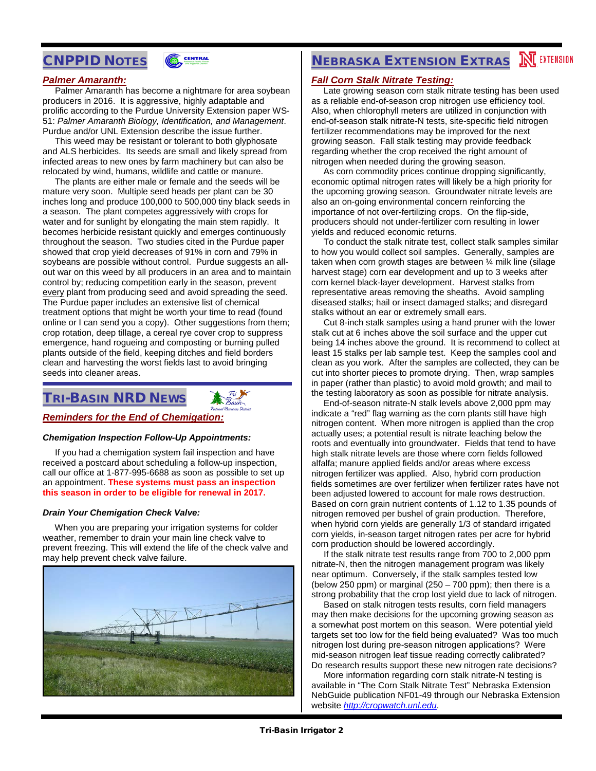## CNPPID NOTES



#### *Palmer Amaranth:*

 Palmer Amaranth has become a nightmare for area soybean producers in 2016. It is aggressive, highly adaptable and prolific according to the Purdue University Extension paper WS-51: *Palmer Amaranth Biology, Identification, and Management*. Purdue and/or UNL Extension describe the issue further.

 This weed may be resistant or tolerant to both glyphosate and ALS herbicides. Its seeds are small and likely spread from infected areas to new ones by farm machinery but can also be relocated by wind, humans, wildlife and cattle or manure.

 The plants are either male or female and the seeds will be mature very soon. Multiple seed heads per plant can be 30 inches long and produce 100,000 to 500,000 tiny black seeds in a season. The plant competes aggressively with crops for water and for sunlight by elongating the main stem rapidly. It becomes herbicide resistant quickly and emerges continuously throughout the season. Two studies cited in the Purdue paper showed that crop yield decreases of 91% in corn and 79% in soybeans are possible without control. Purdue suggests an allout war on this weed by all producers in an area and to maintain control by; reducing competition early in the season, prevent every plant from producing seed and avoid spreading the seed. The Purdue paper includes an extensive list of chemical treatment options that might be worth your time to read (found online or I can send you a copy). Other suggestions from them; crop rotation, deep tillage, a cereal rye cover crop to suppress emergence, hand rogueing and composting or burning pulled plants outside of the field, keeping ditches and field borders clean and harvesting the worst fields last to avoid bringing seeds into cleaner areas.

# TRI-BASIN NRD NEWS

#### *Reminders for the End of Chemigation:*

#### *Chemigation Inspection Follow-Up Appointments:*

 If you had a chemigation system fail inspection and have received a postcard about scheduling a follow-up inspection, call our office at 1-877-995-6688 as soon as possible to set up an appointment. **These systems must pass an inspection this season in order to be eligible for renewal in 2017.**

#### *Drain Your Chemigation Check Valve:*

 When you are preparing your irrigation systems for colder weather, remember to drain your main line check valve to prevent freezing. This will extend the life of the check valve and may help prevent check valve failure.



# **NEBRASKA EXTENSION EXTRAS NEXTENSION**

#### *Fall Corn Stalk Nitrate Testing:*

 Late growing season corn stalk nitrate testing has been used as a reliable end-of-season crop nitrogen use efficiency tool. Also, when chlorophyll meters are utilized in conjunction with end-of-season stalk nitrate-N tests, site-specific field nitrogen fertilizer recommendations may be improved for the next growing season. Fall stalk testing may provide feedback regarding whether the crop received the right amount of nitrogen when needed during the growing season.

 As corn commodity prices continue dropping significantly, economic optimal nitrogen rates will likely be a high priority for the upcoming growing season. Groundwater nitrate levels are also an on-going environmental concern reinforcing the importance of not over-fertilizing crops. On the flip-side, producers should not under-fertilizer corn resulting in lower yields and reduced economic returns.

 To conduct the stalk nitrate test, collect stalk samples similar to how you would collect soil samples. Generally, samples are taken when corn growth stages are between ¼ milk line (silage harvest stage) corn ear development and up to 3 weeks after corn kernel black-layer development. Harvest stalks from representative areas removing the sheaths. Avoid sampling diseased stalks; hail or insect damaged stalks; and disregard stalks without an ear or extremely small ears.

 Cut 8-inch stalk samples using a hand pruner with the lower stalk cut at 6 inches above the soil surface and the upper cut being 14 inches above the ground. It is recommend to collect at least 15 stalks per lab sample test. Keep the samples cool and clean as you work. After the samples are collected, they can be cut into shorter pieces to promote drying. Then, wrap samples in paper (rather than plastic) to avoid mold growth; and mail to the testing laboratory as soon as possible for nitrate analysis.

 End-of-season nitrate-N stalk levels above 2,000 ppm may indicate a "red" flag warning as the corn plants still have high nitrogen content. When more nitrogen is applied than the crop actually uses; a potential result is nitrate leaching below the roots and eventually into groundwater. Fields that tend to have high stalk nitrate levels are those where corn fields followed alfalfa; manure applied fields and/or areas where excess nitrogen fertilizer was applied. Also, hybrid corn production fields sometimes are over fertilizer when fertilizer rates have not been adjusted lowered to account for male rows destruction. Based on corn grain nutrient contents of 1.12 to 1.35 pounds of nitrogen removed per bushel of grain production. Therefore, when hybrid corn yields are generally 1/3 of standard irrigated corn yields, in-season target nitrogen rates per acre for hybrid corn production should be lowered accordingly.

 If the stalk nitrate test results range from 700 to 2,000 ppm nitrate-N, then the nitrogen management program was likely near optimum. Conversely, if the stalk samples tested low (below 250 ppm) or marginal  $(250 - 700$  ppm); then there is a strong probability that the crop lost yield due to lack of nitrogen.

 Based on stalk nitrogen tests results, corn field managers may then make decisions for the upcoming growing season as a somewhat post mortem on this season. Were potential yield targets set too low for the field being evaluated? Was too much nitrogen lost during pre-season nitrogen applications? Were mid-season nitrogen leaf tissue reading correctly calibrated? Do research results support these new nitrogen rate decisions?

 More information regarding corn stalk nitrate-N testing is available in "The Corn Stalk Nitrate Test" Nebraska Extension NebGuide publication NF01-49 through our Nebraska Extension website *[http://cropwatch.unl.edu](http://cropwatch.unl.edu/)*.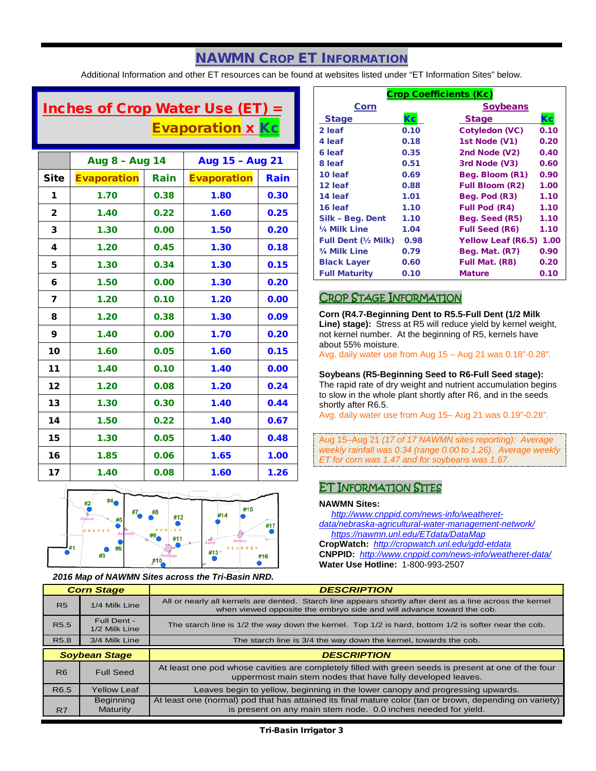# NAWMN CROP ET INFORMATION

Additional Information and other ET resources can be found at websites listed under "ET Information Sites" below.

# Inches of Crop Water Use (ET) = **Evaporation x Kc**

|              | Aug 8 - Aug 14     |      | Aug 15 - Aug 21    |      |
|--------------|--------------------|------|--------------------|------|
| <b>Site</b>  | <b>Evaporation</b> | Rain | <b>Evaporation</b> | Rain |
| 1            | 1.70               | 0.38 | 1.80               | 0.30 |
| $\mathbf{2}$ | 1.40               | 0.22 | 1.60               | 0.25 |
| 3            | 1.30               | 0.00 | 1.50               | 0.20 |
| 4            | 1.20               | 0.45 | 1.30               | 0.18 |
| 5            | 1.30               | 0.34 | 1.30               | 0.15 |
| 6            | 1.50               | 0.00 | 1.30               | 0.20 |
| 7            | 1.20               | 0.10 | 1.20               | 0.00 |
| 8            | 1.20               | 0.38 | 1.30               | 0.09 |
| 9            | 1.40               | 0.00 | 1.70               | 0.20 |
| 10           | 1.60               | 0.05 | 1.60               | 0.15 |
| 11           | 1.40               | 0.10 | 1.40               | 0.00 |
| 12           | 1.20               | 0.08 | 1.20               | 0.24 |
| 13           | 1.30               | 0.30 | 1.40               | 0.44 |
| 14           | 1.50               | 0.22 | 1.40               | 0.67 |
| 15           | 1.30               | 0.05 | 1.40               | 0.48 |
| 16           | 1.85               | 0.06 | 1.65               | 1.00 |
| 17           | 1.40               | 0.08 | 1.60               | 1.26 |



*2016 Map of NAWMN Sites across the Tri-Basin NRD.*

| <b>Crop Coefficients (Kc)</b> |      |                           |      |  |
|-------------------------------|------|---------------------------|------|--|
| Corn                          |      | <b>Soybeans</b>           |      |  |
| <b>Stage</b>                  | Кc   | <b>Stage</b>              |      |  |
| 2 leaf                        | 0.10 | Cotyledon (VC)            | 0.10 |  |
| 4 leaf                        | 0.18 | 1st Node (V1)             | 0.20 |  |
| 6 leaf                        | 0.35 | 2nd Node (V2)             | 0.40 |  |
| 8 leaf                        | 0.51 | 3rd Node (V3)             | 0.60 |  |
| 10 leaf                       | 0.69 | Beg. Bloom (R1)           | 0.90 |  |
| 12 leaf                       | 0.88 | <b>Full Bloom (R2)</b>    | 1.00 |  |
| 14 leaf                       | 1.01 | Beg. Pod (R3)             | 1.10 |  |
| 16 leaf                       | 1.10 | <b>Full Pod (R4)</b>      | 1.10 |  |
| Silk - Beg. Dent              | 1.10 | Beg. Seed (R5)            | 1.10 |  |
| 1/ <sub>4</sub> Milk Line     | 1.04 | <b>Full Seed (R6)</b>     | 1.10 |  |
| Full Dent (1/2 Milk)          | 0.98 | <b>Yellow Leaf (R6.5)</b> | 1.00 |  |
| 3/4 Milk Line                 | 0.79 | Beg. Mat. (R7)            | 0.90 |  |
| <b>Black Layer</b>            | 0.60 | Full Mat. (R8)            | 0.20 |  |
| <b>Full Maturity</b>          | 0.10 | <b>Mature</b>             | 0.10 |  |

## CROP STAGE INFORMATION

**Corn (R4.7-Beginning Dent to R5.5-Full Dent (1/2 Milk Line) stage):** Stress at R5 will reduce yield by kernel weight, not kernel number. At the beginning of R5, kernels have about 55% moisture.

Avg. daily water use from Aug 15 – Aug 21 was 0.18"-0.28".

#### **Soybeans (R5-Beginning Seed to R6-Full Seed stage):**

The rapid rate of dry weight and nutrient accumulation begins to slow in the whole plant shortly after R6, and in the seeds shortly after R6.5.

Avg. daily water use from Aug 15– Aug 21 was 0.19"-0.28".

Aug 15–Aug 21 *(17 of 17 NAWMN sites reporting): Average weekly rainfall was 0.34 (range 0.00 to 1.26). Average weekly ET for corn was 1.47 and for soybeans was 1.67.*

## ET INFORMATION SITES

#### **NAWMN Sites:**

 *[http://www.cnppid.com/news-info/weatheret](http://www.cnppid.com/news-info/weatheret-data/nebraska-agricultural-water-management-network/)[data/nebraska-agricultural-water-management-network/](http://www.cnppid.com/news-info/weatheret-data/nebraska-agricultural-water-management-network/) <https://nawmn.unl.edu/ETdata/DataMap>*

**CropWatch:** *<http://cropwatch.unl.edu/gdd-etdata>* **CNPPID:** *<http://www.cnppid.com/news-info/weatheret-data/>* **Water Use Hotline:** 1-800-993-2507

| <b>Corn Stage</b> |                                            | <b>DESCRIPTION</b>                                                                                                                                                                |  |
|-------------------|--------------------------------------------|-----------------------------------------------------------------------------------------------------------------------------------------------------------------------------------|--|
| <b>R5</b>         | 1/4 Milk Line                              | All or nearly all kernels are dented. Starch line appears shortly after dent as a line across the kernel<br>when viewed opposite the embryo side and will advance toward the cob. |  |
| R <sub>5.5</sub>  | Full Dent -<br>1/2 Milk Line               | The starch line is 1/2 the way down the kernel. Top 1/2 is hard, bottom 1/2 is softer near the cob.                                                                               |  |
| R <sub>5.8</sub>  | 3/4 Milk Line                              | The starch line is 3/4 the way down the kernel, towards the cob.                                                                                                                  |  |
|                   | <b>DESCRIPTION</b><br><b>Soybean Stage</b> |                                                                                                                                                                                   |  |
|                   |                                            |                                                                                                                                                                                   |  |
| R <sub>6</sub>    | <b>Full Seed</b>                           | At least one pod whose cavities are completely filled with green seeds is present at one of the four<br>uppermost main stem nodes that have fully developed leaves.               |  |
| R <sub>6.5</sub>  | <b>Yellow Leaf</b>                         | Leaves begin to yellow, beginning in the lower canopy and progressing upwards.                                                                                                    |  |